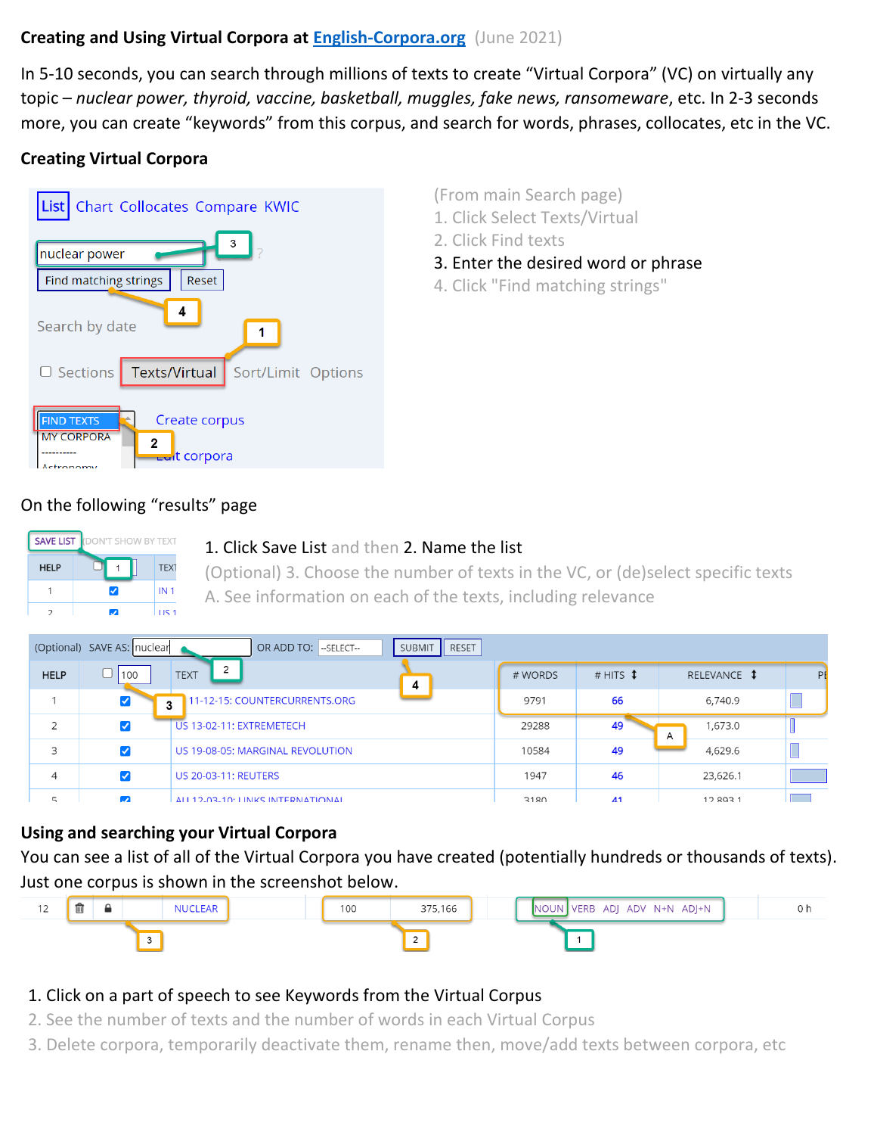### **Creating and Using Virtual Corpora at [English-Corpora.org](https://www.english-corpora.org/)** (June 2021)

In 5-10 seconds, you can search through millions of texts to create "Virtual Corpora" (VC) on virtually any topic – *nuclear power, thyroid, vaccine, basketball, muggles, fake news, ransomeware*, etc. In 2-3 seconds more, you can create "keywords" from this corpus, and search for words, phrases, collocates, etc in the VC.

# **Creating Virtual Corpora**



(From main Search page)

- 1. Click Select Texts/Virtual
- 2. Click Find texts
- 3. Enter the desired word or phrase
- 4. Click "Find matching strings"

### On the following "results" page



#### 1. Click Save List and then 2. Name the list

(Optional) 3. Choose the number of texts in the VC, or (de)select specific texts A. See information on each of the texts, including relevance

|                | (Optional) SAVE AS: nuclear | OR ADD TO: - SELECT-               | RESET<br>SUBMIT |         |                   |              |    |
|----------------|-----------------------------|------------------------------------|-----------------|---------|-------------------|--------------|----|
| <b>HELP</b>    | 100                         | $\overline{2}$<br><b>TEXT</b>      | 4               | # WORDS | # HITS $\ddagger$ | RELEVANCE \$ | PE |
|                | $\blacktriangledown$        | 11-12-15: COUNTERCURRENTS.ORG<br>л |                 | 9791    | 66                | 6,740.9      |    |
| $\overline{2}$ | ✓                           | US 13-02-11: EXTREMETECH           |                 | 29288   | 49                | 1,673.0<br>A |    |
| 3              | ✓                           | US 19-08-05: MARGINAL REVOLUTION   |                 | 10584   | 49                | 4,629.6      |    |
| 4              | ✓                           | <b>US 20-03-11: REUTERS</b>        |                 | 1947    | 46                | 23,626.1     |    |
| $\overline{a}$ | $\overline{a}$              | ALL 12-03-10: LINKS INTERNATIONAL  |                 | 3180    | $\overline{A}$ 1  | 128931       |    |

#### **Using and searching your Virtual Corpora**

You can see a list of all of the Virtual Corpora you have created (potentially hundreds or thousands of texts). Just one corpus is shown in the screenshot below.



## 1. Click on a part of speech to see Keywords from the Virtual Corpus

- 2. See the number of texts and the number of words in each Virtual Corpus
- 3. Delete corpora, temporarily deactivate them, rename then, move/add texts between corpora, etc